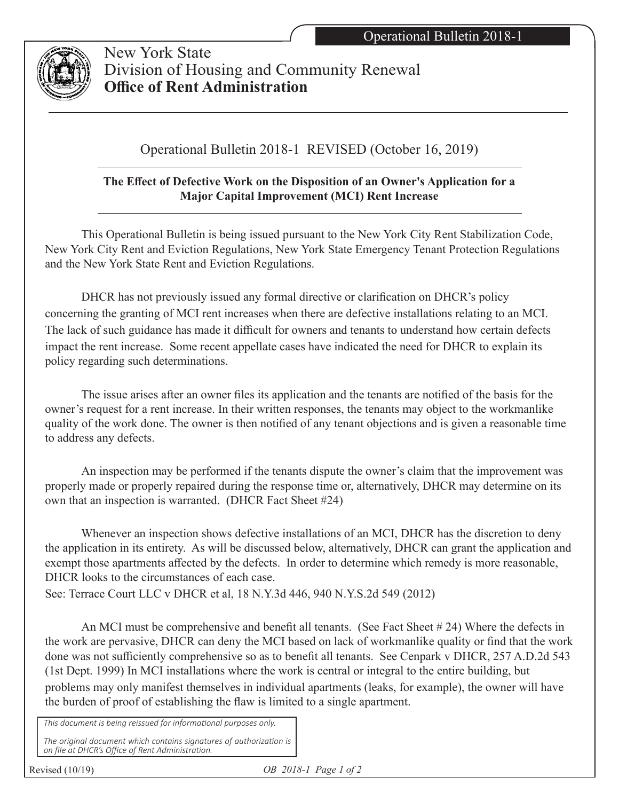

 New York State Division of Housing and Community Renewal **Office of Rent Administration**

## Operational Bulletin 2018-1 REVISED (October 16, 2019)

## **The Effect of Defective Work on the Disposition of an Owner's Application for a Major Capital Improvement (MCI) Rent Increase**

 This Operational Bulletin is being issued pursuant to the New York City Rent Stabilization Code, New York City Rent and Eviction Regulations, New York State Emergency Tenant Protection Regulations and the New York State Rent and Eviction Regulations.

 DHCR has not previously issued any formal directive or clarification on DHCR's policy concerning the granting of MCI rent increases when there are defective installations relating to an MCI. The lack of such guidance has made it difficult for owners and tenants to understand how certain defects impact the rent increase. Some recent appellate cases have indicated the need for DHCR to explain its policy regarding such determinations.

 The issue arises after an owner files its application and the tenants are notified of the basis for the owner's request for a rent increase. In their written responses, the tenants may object to the workmanlike quality of the work done. The owner is then notified of any tenant objections and is given a reasonable time to address any defects.

 An inspection may be performed if the tenants dispute the owner's claim that the improvement was properly made or properly repaired during the response time or, alternatively, DHCR may determine on its own that an inspection is warranted. (DHCR Fact Sheet #24)

 Whenever an inspection shows defective installations of an MCI, DHCR has the discretion to deny the application in its entirety. As will be discussed below, alternatively, DHCR can grant the application and exempt those apartments affected by the defects. In order to determine which remedy is more reasonable, DHCR looks to the circumstances of each case.

See: Terrace Court LLC v DHCR et al, 18 N.Y.3d 446, 940 N.Y.S.2d 549 (2012)

An MCI must be comprehensive and benefit all tenants. (See Fact Sheet #24) Where the defects in the work are pervasive, DHCR can deny the MCI based on lack of workmanlike quality or find that the work done was not sufficiently comprehensive so as to benefit all tenants. See Cenpark v DHCR, 257 A.D.2d 543 (1st Dept. 1999) In MCI installations where the work is central or integral to the entire building, but problems may only manifest themselves in individual apartments (leaks, for example), the owner will have the burden of proof of establishing the flaw is limited to a single apartment.

*This document is being reissued for informational purposes only. The original document which contains signatures of authorization is on file at DHCR's Office of Rent Administration.*

Revised (10/19)

*OB 2018-1 Page 1 of 2*